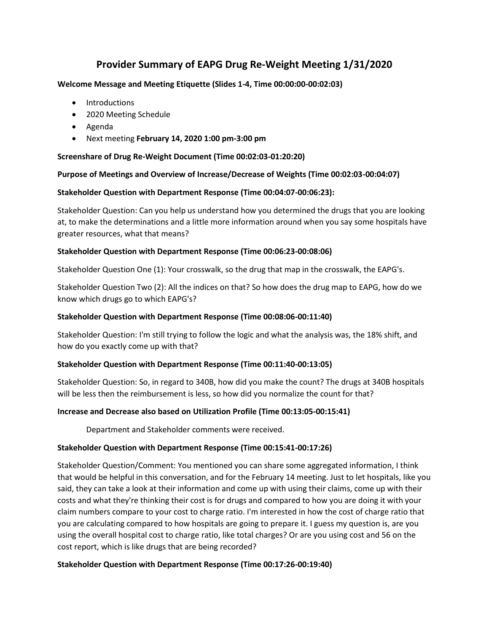# **Provider Summary of EAPG Drug Re-Weight Meeting 1/31/2020**

### **Welcome Message and Meeting Etiquette (Slides 1-4, Time 00:00:00-00:02:03)**

- Introductions
- 2020 Meeting Schedule
- Agenda
- Next meeting **February 14, 2020 1:00 pm-3:00 pm**

### **Screenshare of Drug Re-Weight Document (Time 00:02:03-01:20:20)**

### **Purpose of Meetings and Overview of Increase/Decrease of Weights (Time 00:02:03-00:04:07)**

### **Stakeholder Question with Department Response (Time 00:04:07-00:06:23):**

Stakeholder Question: Can you help us understand how you determined the drugs that you are looking at, to make the determinations and a little more information around when you say some hospitals have greater resources, what that means?

#### **Stakeholder Question with Department Response (Time 00:06:23-00:08:06)**

Stakeholder Question One (1): Your crosswalk, so the drug that map in the crosswalk, the EAPG's.

Stakeholder Question Two (2): All the indices on that? So how does the drug map to EAPG, how do we know which drugs go to which EAPG's?

#### **Stakeholder Question with Department Response (Time 00:08:06-00:11:40)**

Stakeholder Question: I'm still trying to follow the logic and what the analysis was, the 18% shift, and how do you exactly come up with that?

### **Stakeholder Question with Department Response (Time 00:11:40-00:13:05)**

Stakeholder Question: So, in regard to 340B, how did you make the count? The drugs at 340B hospitals will be less then the reimbursement is less, so how did you normalize the count for that?

### **Increase and Decrease also based on Utilization Profile (Time 00:13:05-00:15:41)**

Department and Stakeholder comments were received.

### **Stakeholder Question with Department Response (Time 00:15:41-00:17:26)**

Stakeholder Question/Comment: You mentioned you can share some aggregated information, I think that would be helpful in this conversation, and for the February 14 meeting. Just to let hospitals, like you said, they can take a look at their information and come up with using their claims, come up with their costs and what they're thinking their cost is for drugs and compared to how you are doing it with your claim numbers compare to your cost to charge ratio. I'm interested in how the cost of charge ratio that you are calculating compared to how hospitals are going to prepare it. I guess my question is, are you using the overall hospital cost to charge ratio, like total charges? Or are you using cost and 56 on the cost report, which is like drugs that are being recorded?

### **Stakeholder Question with Department Response (Time 00:17:26-00:19:40)**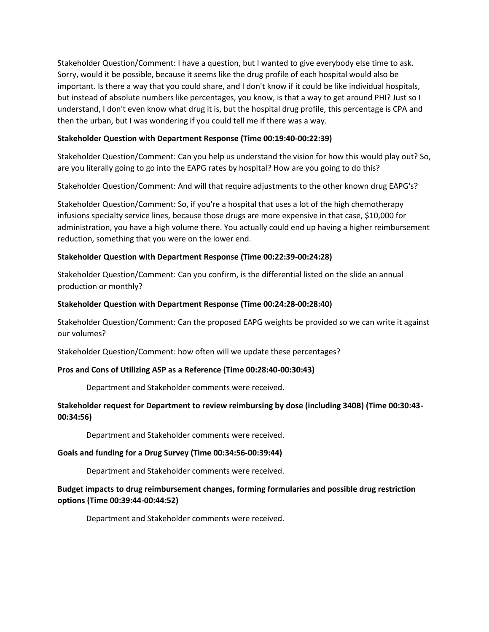Stakeholder Question/Comment: I have a question, but I wanted to give everybody else time to ask. Sorry, would it be possible, because it seems like the drug profile of each hospital would also be important. Is there a way that you could share, and I don't know if it could be like individual hospitals, but instead of absolute numbers like percentages, you know, is that a way to get around PHI? Just so I understand, I don't even know what drug it is, but the hospital drug profile, this percentage is CPA and then the urban, but I was wondering if you could tell me if there was a way.

### **Stakeholder Question with Department Response (Time 00:19:40-00:22:39)**

Stakeholder Question/Comment: Can you help us understand the vision for how this would play out? So, are you literally going to go into the EAPG rates by hospital? How are you going to do this?

Stakeholder Question/Comment: And will that require adjustments to the other known drug EAPG's?

Stakeholder Question/Comment: So, if you're a hospital that uses a lot of the high chemotherapy infusions specialty service lines, because those drugs are more expensive in that case, \$10,000 for administration, you have a high volume there. You actually could end up having a higher reimbursement reduction, something that you were on the lower end.

# **Stakeholder Question with Department Response (Time 00:22:39-00:24:28)**

Stakeholder Question/Comment: Can you confirm, is the differential listed on the slide an annual production or monthly?

### **Stakeholder Question with Department Response (Time 00:24:28-00:28:40)**

Stakeholder Question/Comment: Can the proposed EAPG weights be provided so we can write it against our volumes?

Stakeholder Question/Comment: how often will we update these percentages?

### **Pros and Cons of Utilizing ASP as a Reference (Time 00:28:40-00:30:43)**

Department and Stakeholder comments were received.

# **Stakeholder request for Department to review reimbursing by dose (including 340B) (Time 00:30:43- 00:34:56)**

Department and Stakeholder comments were received.

### **Goals and funding for a Drug Survey (Time 00:34:56-00:39:44)**

Department and Stakeholder comments were received.

# **Budget impacts to drug reimbursement changes, forming formularies and possible drug restriction options (Time 00:39:44-00:44:52)**

Department and Stakeholder comments were received.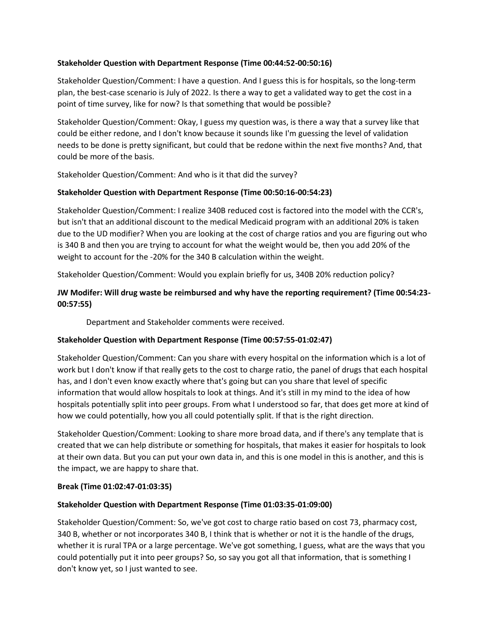### **Stakeholder Question with Department Response (Time 00:44:52-00:50:16)**

Stakeholder Question/Comment: I have a question. And I guess this is for hospitals, so the long-term plan, the best-case scenario is July of 2022. Is there a way to get a validated way to get the cost in a point of time survey, like for now? Is that something that would be possible?

Stakeholder Question/Comment: Okay, I guess my question was, is there a way that a survey like that could be either redone, and I don't know because it sounds like I'm guessing the level of validation needs to be done is pretty significant, but could that be redone within the next five months? And, that could be more of the basis.

Stakeholder Question/Comment: And who is it that did the survey?

# **Stakeholder Question with Department Response (Time 00:50:16-00:54:23)**

Stakeholder Question/Comment: I realize 340B reduced cost is factored into the model with the CCR's, but isn't that an additional discount to the medical Medicaid program with an additional 20% is taken due to the UD modifier? When you are looking at the cost of charge ratios and you are figuring out who is 340 B and then you are trying to account for what the weight would be, then you add 20% of the weight to account for the -20% for the 340 B calculation within the weight.

Stakeholder Question/Comment: Would you explain briefly for us, 340B 20% reduction policy?

# **JW Modifer: Will drug waste be reimbursed and why have the reporting requirement? (Time 00:54:23- 00:57:55)**

Department and Stakeholder comments were received.

# **Stakeholder Question with Department Response (Time 00:57:55-01:02:47)**

Stakeholder Question/Comment: Can you share with every hospital on the information which is a lot of work but I don't know if that really gets to the cost to charge ratio, the panel of drugs that each hospital has, and I don't even know exactly where that's going but can you share that level of specific information that would allow hospitals to look at things. And it's still in my mind to the idea of how hospitals potentially split into peer groups. From what I understood so far, that does get more at kind of how we could potentially, how you all could potentially split. If that is the right direction.

Stakeholder Question/Comment: Looking to share more broad data, and if there's any template that is created that we can help distribute or something for hospitals, that makes it easier for hospitals to look at their own data. But you can put your own data in, and this is one model in this is another, and this is the impact, we are happy to share that.

### **Break (Time 01:02:47-01:03:35)**

# **Stakeholder Question with Department Response (Time 01:03:35-01:09:00)**

Stakeholder Question/Comment: So, we've got cost to charge ratio based on cost 73, pharmacy cost, 340 B, whether or not incorporates 340 B, I think that is whether or not it is the handle of the drugs, whether it is rural TPA or a large percentage. We've got something, I guess, what are the ways that you could potentially put it into peer groups? So, so say you got all that information, that is something I don't know yet, so I just wanted to see.